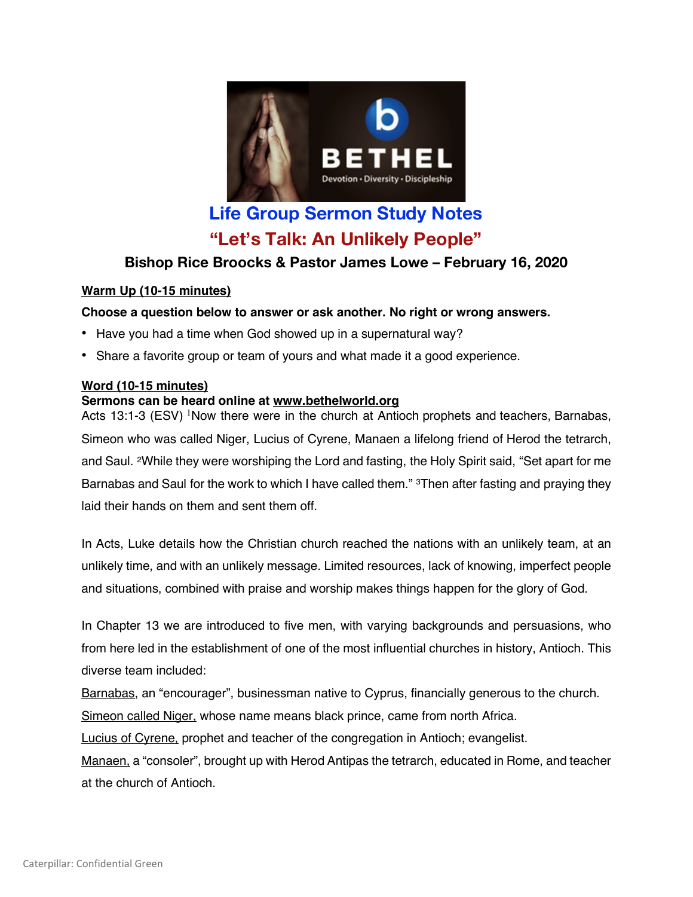

# **Life Group Sermon Study Notes "Let's Talk: An Unlikely People"**

# **Bishop Rice Broocks & Pastor James Lowe – February 16, 2020**

# **Warm Up (10-15 minutes)**

# **Choose a question below to answer or ask another. No right or wrong answers.**

- Have you had a time when God showed up in a supernatural way?
- Share a favorite group or team of yours and what made it a good experience.

### **Word (10-15 minutes)**

### **Sermons can be heard online at www.bethelworld.org**

Acts 13:1-3 (ESV) <sup>1</sup>Now there were in the church at Antioch prophets and teachers, Barnabas, Simeon who was called Niger, Lucius of Cyrene, Manaen a lifelong friend of Herod the tetrarch, and Saul. 2While they were worshiping the Lord and fasting, the Holy Spirit said, "Set apart for me Barnabas and Saul for the work to which I have called them." <sup>3</sup>Then after fasting and praying they laid their hands on them and sent them off.

In Acts, Luke details how the Christian church reached the nations with an unlikely team, at an unlikely time, and with an unlikely message. Limited resources, lack of knowing, imperfect people and situations, combined with praise and worship makes things happen for the glory of God.

In Chapter 13 we are introduced to five men, with varying backgrounds and persuasions, who from here led in the establishment of one of the most influential churches in history, Antioch. This diverse team included:

Barnabas, an "encourager", businessman native to Cyprus, financially generous to the church.

Simeon called Niger, whose name means black prince, came from north Africa.

Lucius of Cyrene, prophet and teacher of the congregation in Antioch; evangelist.

Manaen, a "consoler", brought up with Herod Antipas the tetrarch, educated in Rome, and teacher at the church of Antioch.